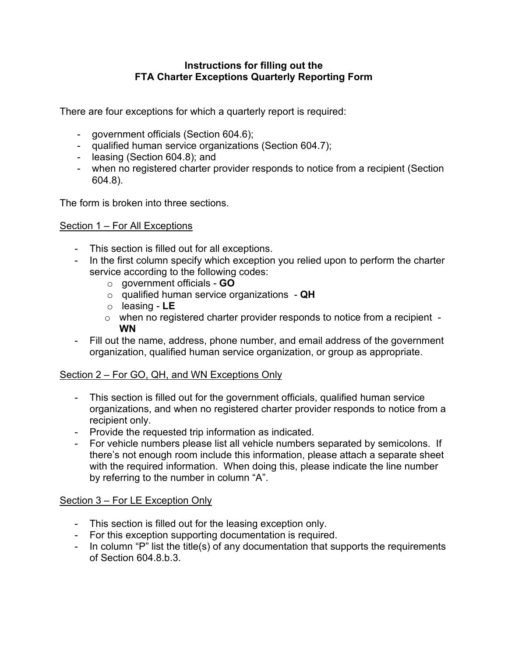## **Instructions for filling out the FTA Charter Exceptions Quarterly Reporting Form**

There are four exceptions for which a quarterly report is required:

- government officials (Section 604.6);
- qualified human service organizations (Section 604.7);
- leasing (Section 604.8); and
- when no registered charter provider responds to notice from a recipient (Section 604.8).

The form is broken into three sections.

## Section 1 – For All Exceptions

- This section is filled out for all exceptions.
- In the first column specify which exception you relied upon to perform the charter service according to the following codes:
	- o government officials **GO**
	- o qualified human service organizations **QH**
	- o leasing **LE**
	- $\circ$  when no registered charter provider responds to notice from a recipient -**WN**
- Fill out the name, address, phone number, and email address of the government organization, qualified human service organization, or group as appropriate.

## Section 2 – For GO, QH, and WN Exceptions Only

- This section is filled out for the government officials, qualified human service organizations, and when no registered charter provider responds to notice from a recipient only.
- Provide the requested trip information as indicated.
- For vehicle numbers please list all vehicle numbers separated by semicolons. If there's not enough room include this information, please attach a separate sheet with the required information. When doing this, please indicate the line number by referring to the number in column "A".

## Section 3 – For LE Exception Only

- This section is filled out for the leasing exception only.
- For this exception supporting documentation is required.
- In column "P" list the title(s) of any documentation that supports the requirements of Section 604.8.b.3.